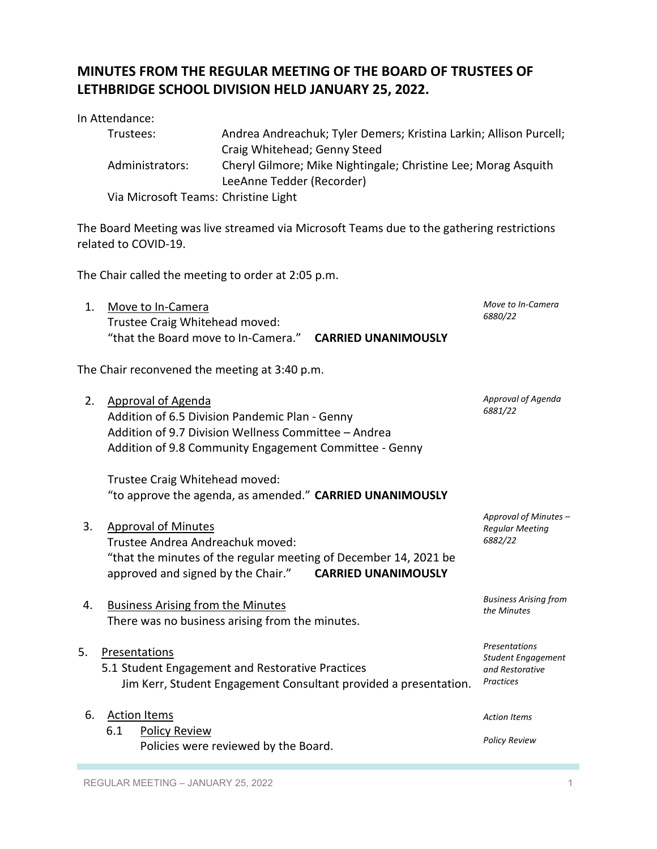## **MINUTES FROM THE REGULAR MEETING OF THE BOARD OF TRUSTEES OF LETHBRIDGE SCHOOL DIVISION HELD JANUARY 25, 2022.**

In Attendance: Trustees: Andrea Andreachuk; Tyler Demers; Kristina Larkin; Allison Purcell; Craig Whitehead; Genny Steed Administrators: Cheryl Gilmore; Mike Nightingale; Christine Lee; Morag Asquith LeeAnne Tedder (Recorder)

Via Microsoft Teams: Christine Light

The Board Meeting was live streamed via Microsoft Teams due to the gathering restrictions related to COVID-19.

The Chair called the meeting to order at 2:05 p.m.

| 1. Move to In-Camera                                    | Move to In-Camera |
|---------------------------------------------------------|-------------------|
| Trustee Craig Whitehead moved:                          | 6880/22           |
| "that the Board move to In-Camera." CARRIED UNANIMOUSLY |                   |

The Chair reconvened the meeting at 3:40 p.m.

| 2. | <b>Approval of Agenda</b><br>Addition of 6.5 Division Pandemic Plan - Genny<br>Addition of 9.7 Division Wellness Committee - Andrea<br>Addition of 9.8 Community Engagement Committee - Genny          | Approval of Agenda<br>6881/22                                                     |
|----|--------------------------------------------------------------------------------------------------------------------------------------------------------------------------------------------------------|-----------------------------------------------------------------------------------|
|    | Trustee Craig Whitehead moved:                                                                                                                                                                         |                                                                                   |
|    | "to approve the agenda, as amended." CARRIED UNANIMOUSLY                                                                                                                                               |                                                                                   |
| 3. | <b>Approval of Minutes</b><br>Trustee Andrea Andreachuk moved:<br>"that the minutes of the regular meeting of December 14, 2021 be<br>approved and signed by the Chair."<br><b>CARRIED UNANIMOUSLY</b> | Approval of Minutes -<br><b>Regular Meeting</b><br>6882/22                        |
| 4. | <b>Business Arising from the Minutes</b><br>There was no business arising from the minutes.                                                                                                            | <b>Business Arising from</b><br>the Minutes                                       |
| 5. | Presentations<br>5.1 Student Engagement and Restorative Practices<br>Jim Kerr, Student Engagement Consultant provided a presentation.                                                                  | Presentations<br><b>Student Engagement</b><br>and Restorative<br><b>Practices</b> |
| 6. | <b>Action Items</b>                                                                                                                                                                                    | <b>Action Items</b>                                                               |
|    | 6.1<br><b>Policy Review</b><br>Policies were reviewed by the Board.                                                                                                                                    | <b>Policy Review</b>                                                              |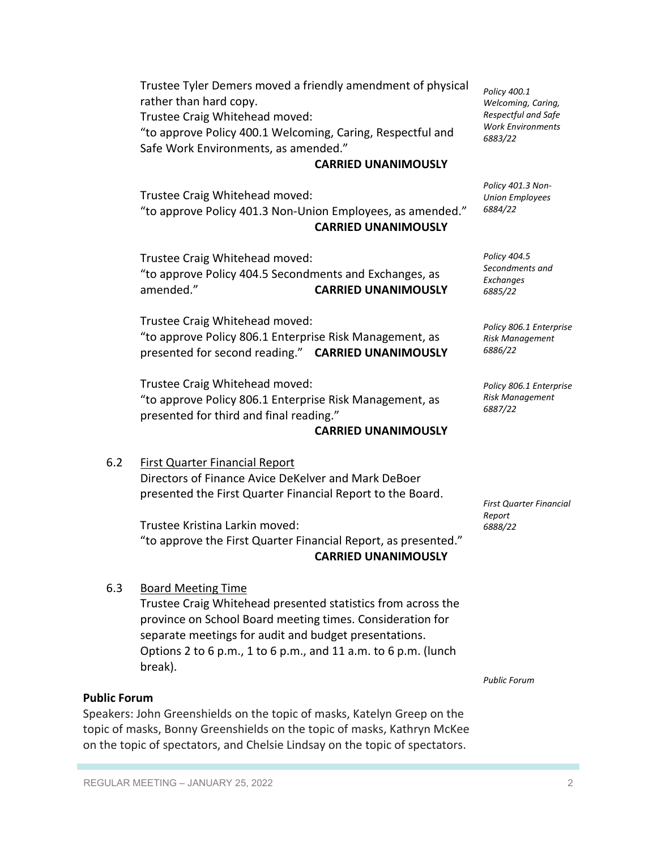Trustee Tyler Demers moved a friendly amendment of physical rather than hard copy.

Trustee Craig Whitehead moved:

"to approve Policy 400.1 Welcoming, Caring, Respectful and Safe Work Environments, as amended."

#### **CARRIED UNANIMOUSLY**

Trustee Craig Whitehead moved: "to approve Policy 401.3 Non-Union Employees, as amended."

# **CARRIED UNANIMOUSLY**

Trustee Craig Whitehead moved: "to approve Policy 404.5 Secondments and Exchanges, as amended." **CARRIED UNANIMOUSLY**

Trustee Craig Whitehead moved: "to approve Policy 806.1 Enterprise Risk Management, as presented for second reading." **CARRIED UNANIMOUSLY**

Trustee Craig Whitehead moved: "to approve Policy 806.1 Enterprise Risk Management, as presented for third and final reading."

## **CARRIED UNANIMOUSLY**

## 6.2 First Quarter Financial Report

Directors of Finance Avice DeKelver and Mark DeBoer presented the First Quarter Financial Report to the Board.

Trustee Kristina Larkin moved: "to approve the First Quarter Financial Report, as presented." **CARRIED UNANIMOUSLY**

#### 6.3 Board Meeting Time

Trustee Craig Whitehead presented statistics from across the province on School Board meeting times. Consideration for separate meetings for audit and budget presentations. Options 2 to 6 p.m., 1 to 6 p.m., and 11 a.m. to 6 p.m. (lunch break).

#### **Public Forum**

Speakers: John Greenshields on the topic of masks, Katelyn Greep on the topic of masks, Bonny Greenshields on the topic of masks, Kathryn McKee on the topic of spectators, and Chelsie Lindsay on the topic of spectators.

*Public Forum*

*Policy 400.1 Welcoming, Caring, Respectful and Safe Work Environments 6883/22*

*Policy 401.3 Non-Union Employees 6884/22*

*Policy 404.5 Secondments and Exchanges 6885/22*

*Policy 806.1 Enterprise Risk Management 6886/22*

*Policy 806.1 Enterprise Risk Management 6887/22*

*First Quarter Financial Report 6888/22*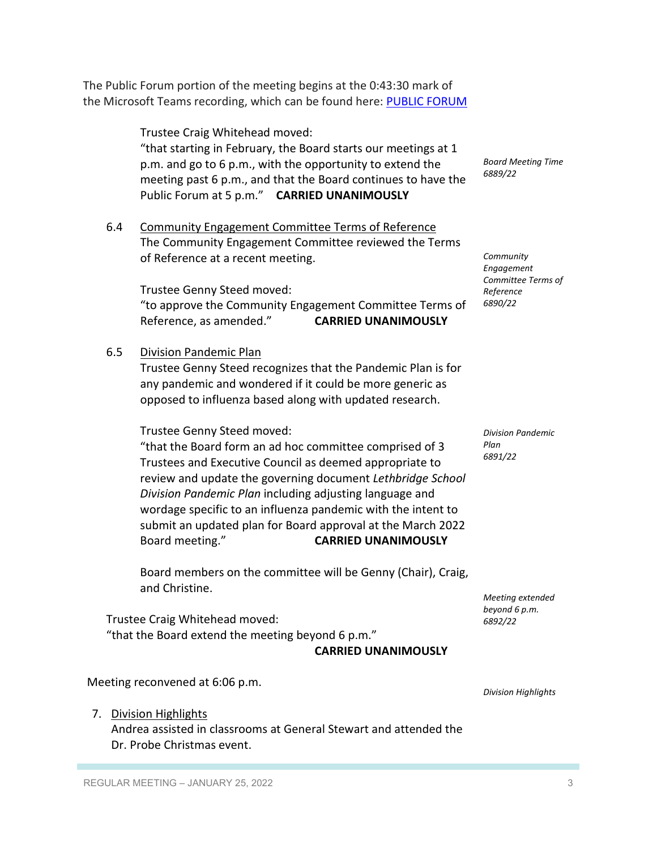The Public Forum portion of the meeting begins at the 0:43:30 mark of the Microsoft Teams recording, which can be found here: PUBLIC FORUM

> Trustee Craig Whitehead moved: "that starting in February, the Board starts our meetings at 1 p.m. and go to 6 p.m., with the opportunity to extend the meeting past 6 p.m., and that the Board continues to have the Public Forum at 5 p.m." **CARRIED UNANIMOUSLY**

6.4 Community Engagement Committee Terms of Reference The Community Engagement Committee reviewed the Terms of Reference at a recent meeting.

Trustee Genny Steed moved: "to approve the Community Engagement Committee Terms of Reference, as amended." **CARRIED UNANIMOUSLY**

6.5 Division Pandemic Plan

Trustee Genny Steed recognizes that the Pandemic Plan is for any pandemic and wondered if it could be more generic as opposed to influenza based along with updated research.

Trustee Genny Steed moved:

"that the Board form an ad hoc committee comprised of 3 Trustees and Executive Council as deemed appropriate to review and update the governing document *Lethbridge School Division Pandemic Plan* including adjusting language and wordage specific to an influenza pandemic with the intent to submit an updated plan for Board approval at the March 2022 Board meeting." **CARRIED UNANIMOUSLY**

Board members on the committee will be Genny (Chair), Craig, and Christine.

Trustee Craig Whitehead moved: "that the Board extend the meeting beyond 6 p.m."

**CARRIED UNANIMOUSLY**

Meeting reconvened at 6:06 p.m.

*Division Highlights*

7. Division Highlights Andrea assisted in classrooms at General Stewart and attended the

Dr. Probe Christmas event.

*Board Meeting Time 6889/22*

*Community Engagement Committee Terms of* 

*Reference 6890/22*

*Division Pandemic Plan 6891/22*

*Meeting extended beyond 6 p.m. 6892/22*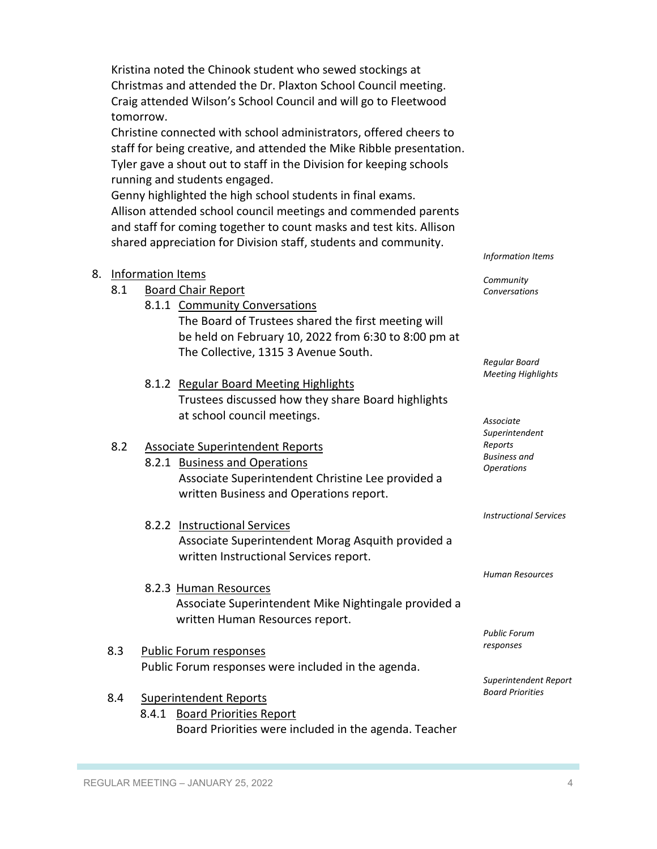Kristina noted the Chinook student who sewed stockings at Christmas and attended the Dr. Plaxton School Council meeting. Craig attended Wilson's School Council and will go to Fleetwood tomorrow.

Christine connected with school administrators, offered cheers to staff for being creative, and attended the Mike Ribble presentation. Tyler gave a shout out to staff in the Division for keeping schools running and students engaged.

Genny highlighted the high school students in final exams. Allison attended school council meetings and commended parents and staff for coming together to count masks and test kits. Allison shared appreciation for Division staff, students and community.

|     | 8.1.1 Community Conversations<br>The Board of Trustees shared the first meeting will<br>be held on February 10, 2022 from 6:30 to 8:00 pm at<br>The Collective, 1315 3 Avenue South. |
|-----|--------------------------------------------------------------------------------------------------------------------------------------------------------------------------------------|
|     | 8.1.2 Regular Board Meeting Highlights<br>Trustees discussed how they share Board highlights<br>at school council meetings.                                                          |
| 8.2 | <b>Associate Superintendent Reports</b>                                                                                                                                              |
|     | 8.2.1 Business and Operations                                                                                                                                                        |
|     | Associate Superintendent Christine Lee provided a                                                                                                                                    |
|     | written Business and Operations report.                                                                                                                                              |
|     | 8.2.2 Instructional Services                                                                                                                                                         |
|     | Associate Superintendent Morag Asquith provided a<br>written Instructional Services report.                                                                                          |
|     | 8.2.3 Human Resources                                                                                                                                                                |
|     | Associate Superintendent Mike Nightingale provided a                                                                                                                                 |
|     | written Human Resources report.                                                                                                                                                      |
| 8.3 | Public Forum responses                                                                                                                                                               |
|     | Public Forum responses were included in the agenda.                                                                                                                                  |

8.4 Superintendent Reports 8.4.1 Board Priorities Report Board Priorities were included in the agenda. Teacher *Information Items*

*Community Conversations*

*Regular Board Meeting Highlights*

*Associate Superintendent Reports Business and Operations*

*Instructional Services*

*Human Resources*

*Public Forum responses*

*Superintendent Report Board Priorities*

8. Information Items

8.1 Board Chair Report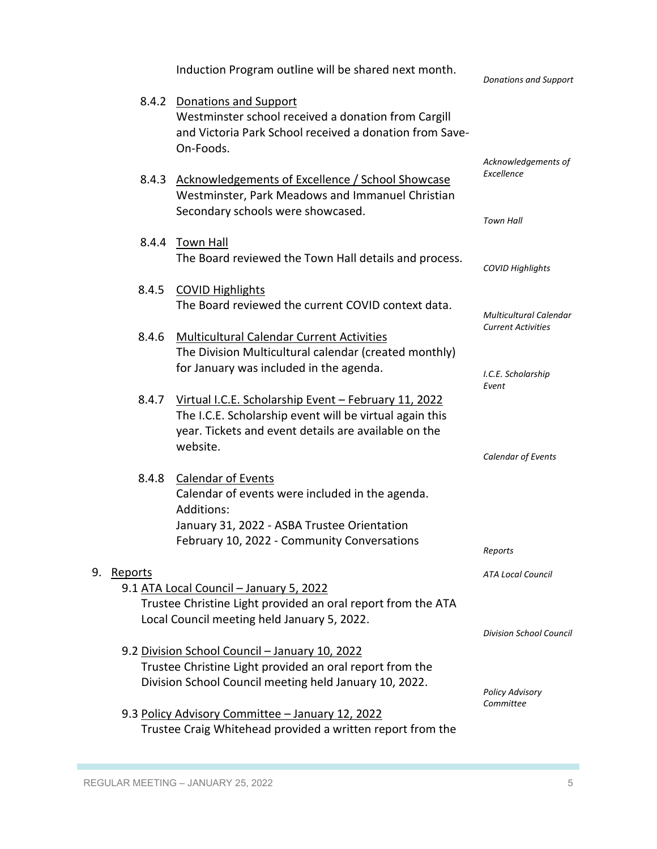|    |         | Induction Program outline will be shared next month.                                                                                                                                     | <b>Donations and Support</b>                               |
|----|---------|------------------------------------------------------------------------------------------------------------------------------------------------------------------------------------------|------------------------------------------------------------|
|    |         | 8.4.2 Donations and Support<br>Westminster school received a donation from Cargill<br>and Victoria Park School received a donation from Save-<br>On-Foods.                               |                                                            |
|    |         | 8.4.3 Acknowledgements of Excellence / School Showcase<br>Westminster, Park Meadows and Immanuel Christian<br>Secondary schools were showcased.                                          | Acknowledgements of<br>Excellence<br><b>Town Hall</b>      |
|    |         | 8.4.4 Town Hall<br>The Board reviewed the Town Hall details and process.                                                                                                                 | <b>COVID Highlights</b>                                    |
|    | 8.4.5   | <b>COVID Highlights</b><br>The Board reviewed the current COVID context data.                                                                                                            | <b>Multicultural Calendar</b><br><b>Current Activities</b> |
|    | 8.4.6   | <b>Multicultural Calendar Current Activities</b><br>The Division Multicultural calendar (created monthly)<br>for January was included in the agenda.                                     | I.C.E. Scholarship                                         |
|    | 8.4.7   | Virtual I.C.E. Scholarship Event - February 11, 2022<br>The I.C.E. Scholarship event will be virtual again this<br>year. Tickets and event details are available on the<br>website.      | Event<br>Calendar of Events                                |
|    | 8.4.8   | <b>Calendar of Events</b><br>Calendar of events were included in the agenda.<br>Additions:<br>January 31, 2022 - ASBA Trustee Orientation<br>February 10, 2022 - Community Conversations | Reports                                                    |
| 9. | Reports | 9.1 ATA Local Council - January 5, 2022<br>Trustee Christine Light provided an oral report from the ATA<br>Local Council meeting held January 5, 2022.                                   | <b>ATA Local Council</b>                                   |
|    |         | 9.2 Division School Council - January 10, 2022<br>Trustee Christine Light provided an oral report from the<br>Division School Council meeting held January 10, 2022.                     | <b>Division School Council</b><br><b>Policy Advisory</b>   |
|    |         | 9.3 Policy Advisory Committee - January 12, 2022<br>Trustee Craig Whitehead provided a written report from the                                                                           | Committee                                                  |